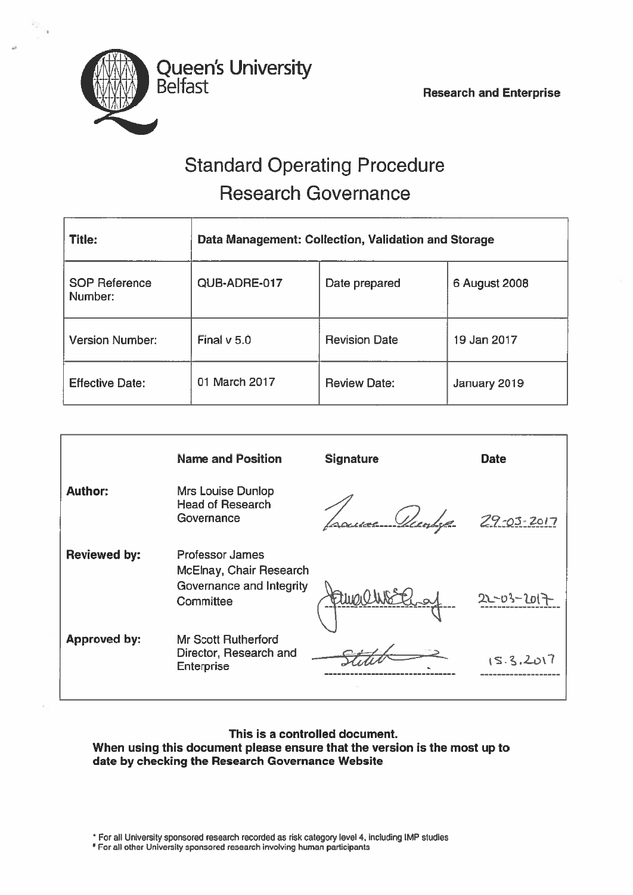

# Standard Operating Procedure Research Governance

| <b>Title:</b>                   | Data Management: Collection, Validation and Storage |                      |               |
|---------------------------------|-----------------------------------------------------|----------------------|---------------|
| <b>SOP Reference</b><br>Number: | QUB-ADRE-017                                        | Date prepared        | 6 August 2008 |
| <b>Version Number:</b>          | Final $v$ 5.0                                       | <b>Revision Date</b> | 19 Jan 2017   |
| <b>Effective Date:</b>          | 01 March 2017                                       | <b>Review Date:</b>  | January 2019  |

|                     | <b>Name and Position</b>                                                            | <b>Signature</b> | <b>Date</b>      |
|---------------------|-------------------------------------------------------------------------------------|------------------|------------------|
| <b>Author:</b>      | <b>Mrs Louise Dunlop</b><br><b>Head of Research</b><br>Governance                   | ruce Vantage     | $29 - 03 - 2017$ |
| <b>Reviewed by:</b> | Professor James<br>McElnay, Chair Research<br>Governance and Integrity<br>Committee | Wolfen           | $22 - 03$        |
| <b>Approved by:</b> | Mr Scott Rutherford<br>Director, Research and<br><b>Enterprise</b>                  |                  | 15.3, 2017       |

### This is <sup>a</sup> controlled document. When using this document please ensure that the version is the most up to date by checking the Research Governance Website

For all University sponsored research recorded as risk category level 4, including IMP studies

'For all other University sponsored research involving human participants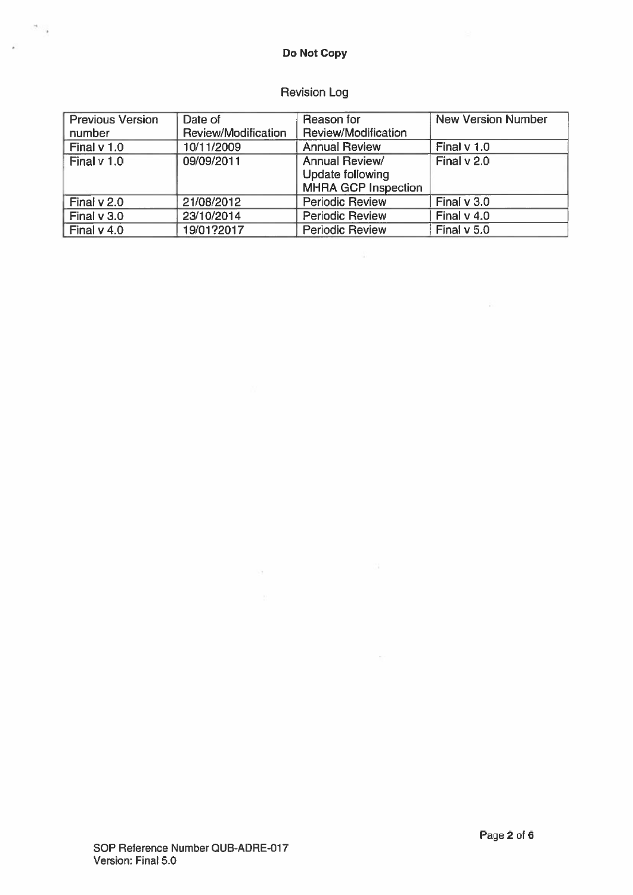## Do Not Copy

 $\sim$ 

ý.

# Revision Log

| <b>Previous Version</b> | Date of             | Reason for                 | <b>New Version Number</b> |
|-------------------------|---------------------|----------------------------|---------------------------|
| number                  | Review/Modification | Review/Modification        |                           |
| Final $v$ 1.0           | 10/11/2009          | <b>Annual Review</b>       | Final $v$ 1.0             |
| Final v 1.0             | 09/09/2011          | <b>Annual Review/</b>      | Final v 2.0               |
|                         |                     | <b>Update following</b>    |                           |
|                         |                     | <b>MHRA GCP Inspection</b> |                           |
| Final $v$ 2.0           | 21/08/2012          | <b>Periodic Review</b>     | Final v 3.0               |
| Final v 3.0             | 23/10/2014          | <b>Periodic Review</b>     | Final $v$ 4.0             |
| Final $v$ 4.0           | 19/01?2017          | <b>Periodic Review</b>     | Final $v$ 5.0             |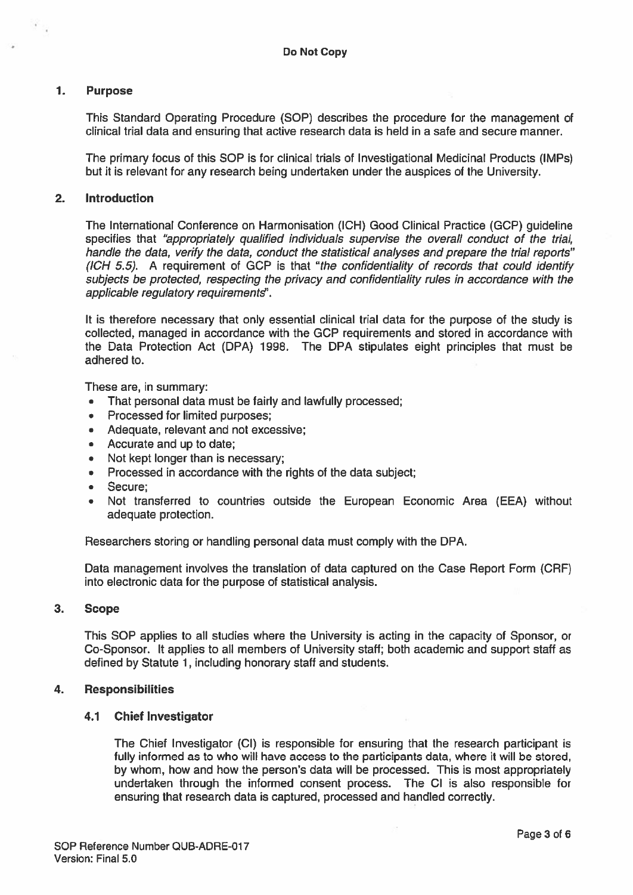#### 1. Purpose

This Standard Operating Procedure (SOP) describes the procedure for the managemen<sup>t</sup> of clinical trial data and ensuring that active research data is held in <sup>a</sup> safe and secure manner.

The primary focus of this SOP is for clinical trials of Investigational Medicinal Products (IMPs) but it is relevant for any research being undertaken under the auspices of the University.

#### 2. Introduction

The International Conference on Harmonisation (ICR) Good Clinical Practice (GCP) guideline specifies that "appropriately qualified individuals supervise the overall conduct of the trial, handle the data, verify the data, conduct the statistical analyses and prepare the trial reports" (ICH 5.5). A requirement of GCP is that "the confidentiality of records that could identify subjects be protected, respecting the privacy and confidentiality rules in accordance with the applicable regulatory requirements".

It is therefore necessary that only essential clinical trial data for the purpose of the study is collected, managed in accordance with the GCP requirements and stored in accordance with the Data Protection Act (DPA) 1998. The DPA stipulates eight principles that must be adhered to.

These are, in summary:

- •That personal data must be fairly and lawfully processed;
- Processed for limited purposes;
- •Adequate, relevant and not excessive;
- •Accurate and up to date;
- •Not kept longer than is necessary;
- •Processed in accordance with the rights of the data subject:
- •Secure;
- • Not transferred to countries outside the European Economic Area (EEA) without adequate protection.

Researchers storing or handling personal data must comply with the DPA.

Data managemen<sup>t</sup> involves the translation of data captured on the Case Report Form (CRF) into electronic data for the purpose of statistical analysis.

#### 3. Scope

This SOP applies to all studies where the University is acting in the capacity of Sponsor, or Co-Sponsor. It applies to all members of University staff; both academic and suppor<sup>t</sup> staff as defined by Statute 1, including honorary staff and students.

#### 4. Responsibilities

#### 4.1 Chief Investigator

The Chief Investigator (Cl) is responsible for ensuring that the research participant is fully informed as to who will have access to the participants data, where it will be stored, by whom, how and how the person's data will be processed. This is most appropriately undertaken through the informed consent process. The Cl is also responsible for ensuring that research data is captured, processed and handled correctly.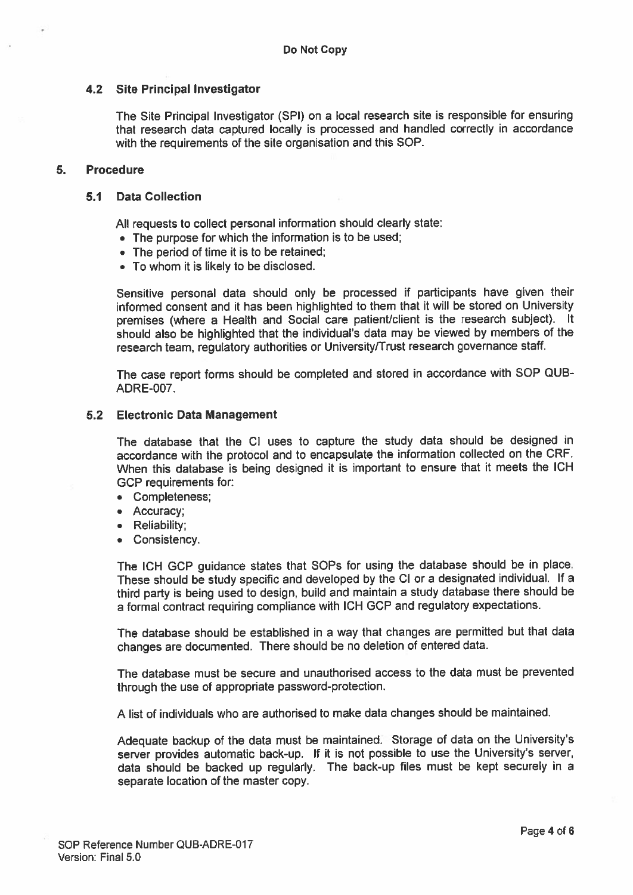#### 4.2 Site Principal Investigator

The Site Principal Investigator (SPI) on <sup>a</sup> local research site is responsible for ensuring that research data captured locally is processe<sup>d</sup> and handled correctly in accordance with the requirements of the site organisation and this SOP.

#### 5. Procedure

#### 5.1 Data Collection

All requests to collect persona<sup>l</sup> information should clearly state:

- The purpose for which the information is to be used;
- The period of time it is to be retained;
- To whom it is likely to be disclosed.

Sensitive persona<sup>l</sup> data should only be processe<sup>d</sup> if participants have <sup>g</sup>iven their informed consent and it has been highlighted to them that it will be stored on University premises (where <sup>a</sup> Health and Social care patient/client is the research subject). It should also be highlighted that the individual's data may be viewed by members of the research team, regulatory authorities or University/Trust research governance staff.

The case repor<sup>t</sup> forms should be completed and stored in accordance with SOP QUB ADRE-007.

#### 5.2 Electronic Data Management

The database that the Cl uses to capture the study data should be designed in accordance with the protocol and to encapsulate the information collected on the ORE. When this database is being designed it is important to ensure that it meets the ICH GCP requirements for:

- Completeness;
- Accuracy;
- Reliability;
- Consistency.

The ICH GCP guidance states that SOPs for using the database should be in <sup>p</sup>lace. These should be study specific and developed by the Cl or <sup>a</sup> designated individual. If <sup>a</sup> third party is being used to design, build and maintain <sup>a</sup> study database there should be <sup>a</sup> formal contract requiring compliance with ICH GCP and regulatory expectations.

The database should be established in <sup>a</sup> way that changes are permitted but that data changes are documented. There should be no deletion of entered data.

The database must be secure and unauthorised access to the data must be prevented through the use of appropriate password-protection.

A list of individuals who are authorised to make data changes should be maintained.

Adequate backup of the data must be maintained. Storage of data on the University's server provides automatic back-up. If it is not possible to use the University's server, data should be backed up regularly. The back-up files must be kept securely in <sup>a</sup> separate location of the master copy.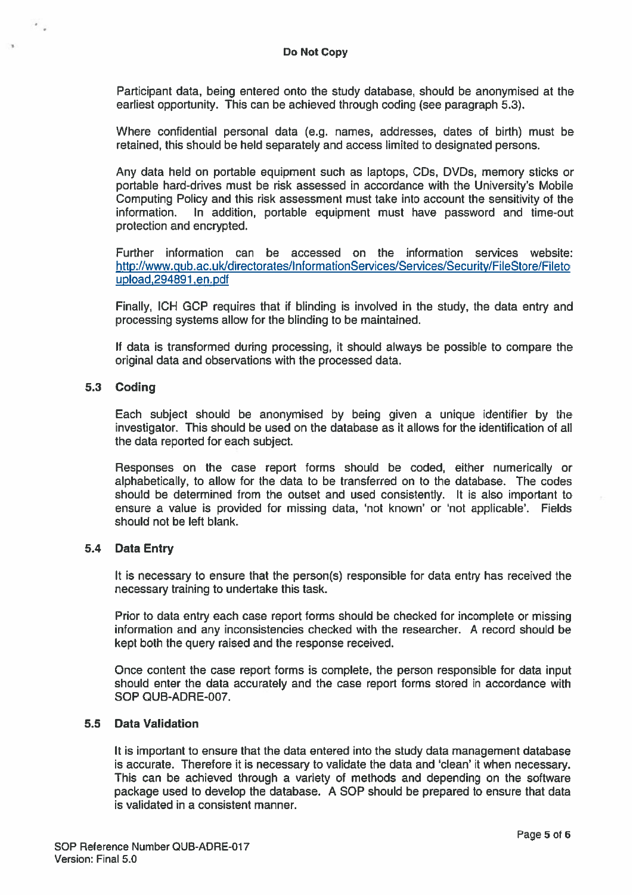Participant data, being entered onto the study database, should be anonymised at the earliest opportunity. This can be achieved through coding (see paragraph 5.3).

Where confidential personal data (e.g. names, addresses, dates of birth) must be retained, this should be held separately and access limited to designated persons.

Any data held on portable equipment such as laptops, CDs, DVDs, memory sticks or portable hard-drives must be risk assessed in accordance with the University's Mobile Computing Policy and this risk assessment must take into account the sensitivity of the information. In addition, portable equipment must have password and time-out protection and encrypted.

Further information can be accessed on the information services website: http://www.gub.ac.uk/directorates/lnformationServices/Services/Security/FileStore/Fileto upload,294891 ,en.pdf

Finally, ICH GCP requires that if blinding is involved in the study, the data entry and processing systems allow for the blinding to be maintained.

If data is transformed during processing, it should always be possible to compare the original data and observations with the processed data.

#### 5.3 Coding

 $\ddot{\phantom{a}}$  .

Each subject should be anonymised by being given <sup>a</sup> unique identifier by the investigator. This should be used on the database as it allows for the identification of all the data reported for each subject.

Responses on the case repor<sup>t</sup> forms should be coded, either numerically or alphabetically, to allow for the data to be transferred on to the database. The codes should be determined from the outset and used consistently. It is also important to ensure <sup>a</sup> value is provided for missing data, 'not known' or 'not applicable'. Fields should not be left blank.

#### 5.4 Data Entry

It is necessary to ensure that the person(s) responsible for data entry has received the necessary training to undertake this task.

Prior to data entry each case repor<sup>t</sup> forms should be checked for incomplete or missing information and any inconsistencies checked with the researcher. A record should be kept both the query raised and the response received.

Once content the case repor<sup>t</sup> forms is complete, the person responsible for data input should enter the data accurately and the case repor<sup>t</sup> forms stored in accordance with SOP QUB-ADRE-007.

#### 5.5 Data Validation

It is important to ensure that the data entered into the study data managemen<sup>t</sup> database is accurate. Therefore it is necessary to validate the data and 'clean' it when necessary. This can be achieved through <sup>a</sup> variety of methods and depending on the software package used to develop the database. A SOP should be prepared to ensure that data is validated in <sup>a</sup> consistent manner.